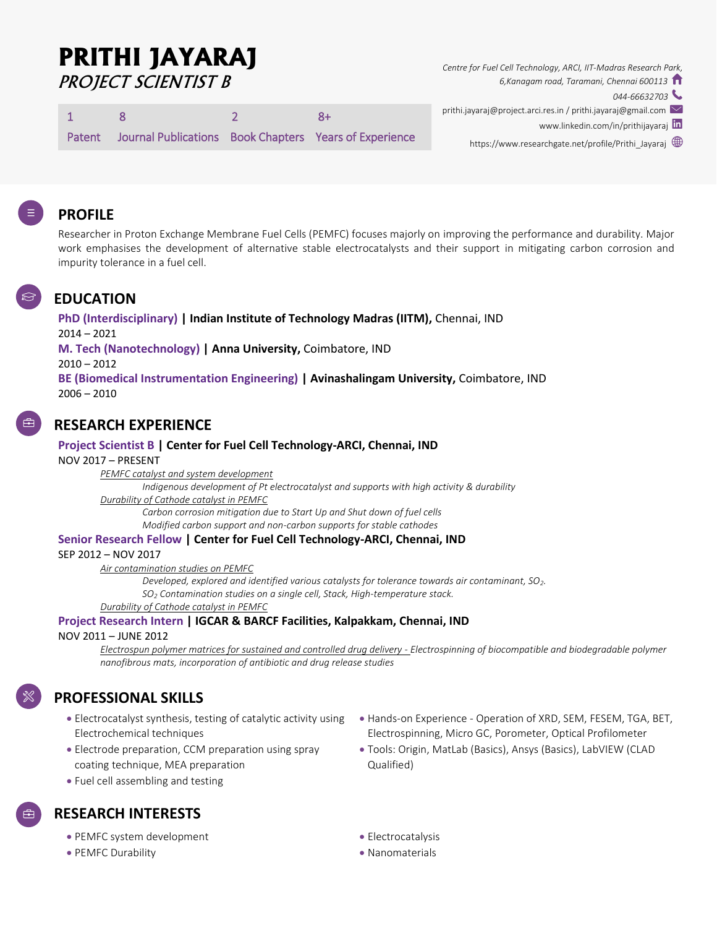# **PRITHI JAYARAJ** PROJECT SCIENTIST B

1 8 2 8+

Patent Journal Publications Book Chapters Years of Experience

*Centre for Fuel Cell Technology, ARCI, IIT-Madras Research Park, 6,Kanagam road, Taramani, Chennai 600113*

*044-66632703*

- prithi.jayaraj@project.arci.res.in / prithi.jayaraj@gmail.com
	- www.linkedin.com/in/prithijayaraj In
	- https://www.researchgate.net/profile/Prithi\_Jayaraj

## **PROFILE**

Researcher in Proton Exchange Membrane Fuel Cells (PEMFC) focuses majorly on improving the performance and durability. Major work emphasises the development of alternative stable electrocatalysts and their support in mitigating carbon corrosion and impurity tolerance in a fuel cell.

## **EDUCATION**

**PhD (Interdisciplinary) | Indian Institute of Technology Madras (IITM),** Chennai, IND 2014 – 2021 **M. Tech (Nanotechnology) | Anna University,** Coimbatore, IND 2010 – 2012 **BE (Biomedical Instrumentation Engineering) | Avinashalingam University,** Coimbatore, IND  $2006 - 2010$ 

## **RESEARCH EXPERIENCE**

#### **Project Scientist B | Center for Fuel Cell Technology-ARCI, Chennai, IND**

NOV 2017 – PRESENT

*PEMFC catalyst and system development*

*Indigenous development of Pt electrocatalyst and supports with high activity & durability Durability of Cathode catalyst in PEMFC*

*Carbon corrosion mitigation due to Start Up and Shut down of fuel cells Modified carbon support and non-carbon supports for stable cathodes*

#### **Senior Research Fellow | Center for Fuel Cell Technology-ARCI, Chennai, IND**

SEP 2012 – NOV 2017

*Air contamination studies on PEMFC*

*Developed, explored and identified various catalysts for tolerance towards air contaminant, SO2. SO<sup>2</sup> Contamination studies on a single cell, Stack, High-temperature stack. Durability of Cathode catalyst in PEMFC*

## **Project Research Intern | IGCAR & BARCF Facilities, Kalpakkam, Chennai, IND**

NOV 2011 – JUNE 2012

*Electrospun polymer matrices for sustained and controlled drug delivery - Electrospinning of biocompatible and biodegradable polymer nanofibrous mats, incorporation of antibiotic and drug release studies*

## **PROFESSIONAL SKILLS**

- Electrocatalyst synthesis, testing of catalytic activity using Electrochemical techniques
- Electrode preparation, CCM preparation using spray coating technique, MEA preparation
- Fuel cell assembling and testing

# **RESEARCH INTERESTS**

- PEMFC system development
- PEMFC Durability
- Hands-on Experience Operation of XRD, SEM, FESEM, TGA, BET, Electrospinning, Micro GC, Porometer, Optical Profilometer
- Tools: Origin, MatLab (Basics), Ansys (Basics), LabVIEW (CLAD Qualified)
- **•** Electrocatalysis
- Nanomaterials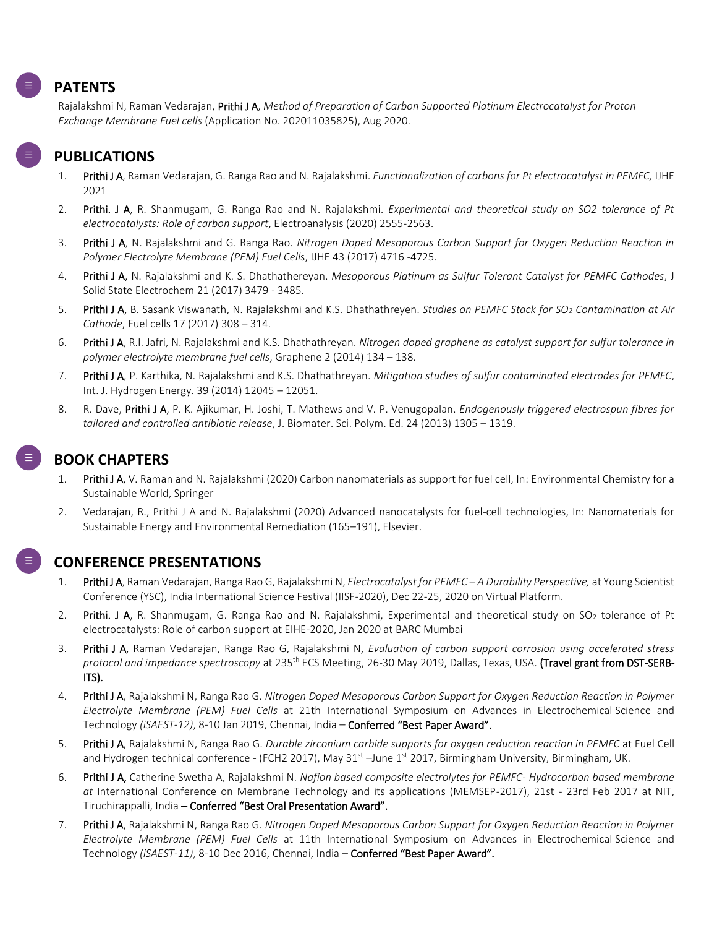## **PATENTS**

Rajalakshmi N, Raman Vedarajan, Prithi J A, *Method of Preparation of Carbon Supported Platinum Electrocatalyst for Proton Exchange Membrane Fuel cells* (Application No. 202011035825), Aug 2020.

## **PUBLICATIONS**

- 1. Prithi J A, Raman Vedarajan, G. Ranga Rao and N. Rajalakshmi. *Functionalization of carbons for Pt electrocatalyst in PEMFC,* IJHE 2021
- 2. Prithi. J A, R. Shanmugam, G. Ranga Rao and N. Rajalakshmi. *Experimental and theoretical study on SO2 tolerance of Pt electrocatalysts: Role of carbon support*, Electroanalysis (2020) 2555-2563.
- 3. Prithi J A, N. Rajalakshmi and G. Ranga Rao. *Nitrogen Doped Mesoporous Carbon Support for Oxygen Reduction Reaction in Polymer Electrolyte Membrane (PEM) Fuel Cell*s, IJHE 43 (2017) 4716 -4725.
- 4. Prithi J A, N. Rajalakshmi and K. S. Dhathathereyan. *Mesoporous Platinum as Sulfur Tolerant Catalyst for PEMFC Cathodes*, J Solid State Electrochem 21 (2017) 3479 - 3485.
- 5. Prithi J A, B. Sasank Viswanath, N. Rajalakshmi and K.S. Dhathathreyen. *Studies on PEMFC Stack for SO<sup>2</sup> Contamination at Air Cathode*, Fuel cells 17 (2017) 308 – 314.
- 6. Prithi J A, R.I. Jafri, N. Rajalakshmi and K.S. Dhathathreyan. *Nitrogen doped graphene as catalyst support for sulfur tolerance in polymer electrolyte membrane fuel cells*, Graphene 2 (2014) 134 – 138.
- 7. Prithi J A, P. Karthika, N. Rajalakshmi and K.S. Dhathathreyan. *Mitigation studies of sulfur contaminated electrodes for PEMFC*, Int. J. Hydrogen Energy. 39 (2014) 12045 – 12051.
- 8. R. Dave, Prithi J A, P. K. Ajikumar, H. Joshi, T. Mathews and V. P. Venugopalan. *Endogenously triggered electrospun fibres for tailored and controlled antibiotic release*, J. Biomater. Sci. Polym. Ed. 24 (2013) 1305 – 1319.

## **BOOK CHAPTERS**

- 1. Prithi J A, V. Raman and N. Rajalakshmi (2020) Carbon nanomaterials as support for fuel cell, In: Environmental Chemistry for a Sustainable World, Springer
- 2. Vedarajan, R., Prithi J A and N. Rajalakshmi (2020) Advanced nanocatalysts for fuel-cell technologies, In: Nanomaterials for Sustainable Energy and Environmental Remediation (165–191), Elsevier.



#### **CONFERENCE PRESENTATIONS**

- 1. Prithi J A, Raman Vedarajan, Ranga Rao G, Rajalakshmi N, *Electrocatalyst for PEMFC – A Durability Perspective,* at Young Scientist Conference (YSC), India International Science Festival (IISF-2020), Dec 22-25, 2020 on Virtual Platform.
- 2. Prithi. J A, R. Shanmugam, G. Ranga Rao and N. Rajalakshmi, Experimental and theoretical study on  $SO_2$  tolerance of Pt electrocatalysts: Role of carbon support at EIHE-2020, Jan 2020 at BARC Mumbai
- 3. Prithi J A, Raman Vedarajan, Ranga Rao G, Rajalakshmi N, *Evaluation of carbon support corrosion using accelerated stress protocol and impedance spectroscopy* at 235th ECS Meeting, 26-30 May 2019, Dallas, Texas, USA. (Travel grant from DST-SERB-ITS).
- 4. Prithi J A, Rajalakshmi N, Ranga Rao G. *Nitrogen Doped Mesoporous Carbon Support for Oxygen Reduction Reaction in Polymer Electrolyte Membrane (PEM) Fuel Cells* at 21th International Symposium on Advances in Electrochemical Science and Technology *(iSAEST-12)*, 8-10 Jan 2019, Chennai, India – Conferred "Best Paper Award".
- 5. Prithi J A, Rajalakshmi N, Ranga Rao G. *Durable zirconium carbide supports for oxygen reduction reaction in PEMFC* at Fuel Cell and Hydrogen technical conference - (FCH2 2017), May 31<sup>st</sup> –June 1<sup>st</sup> 2017, Birmingham University, Birmingham, UK.
- 6. Prithi J A, Catherine Swetha A, Rajalakshmi N. *Nafion based composite electrolytes for PEMFC- Hydrocarbon based membrane at* International Conference on Membrane Technology and its applications (MEMSEP-2017), 21st - 23rd Feb 2017 at NIT, Tiruchirappalli, India – Conferred "Best Oral Presentation Award".
- 7. Prithi J A, Rajalakshmi N, Ranga Rao G. *Nitrogen Doped Mesoporous Carbon Support for Oxygen Reduction Reaction in Polymer Electrolyte Membrane (PEM) Fuel Cells* at 11th International Symposium on Advances in Electrochemical Science and Technology *(iSAEST-11)*, 8-10 Dec 2016, Chennai, India – Conferred "Best Paper Award".